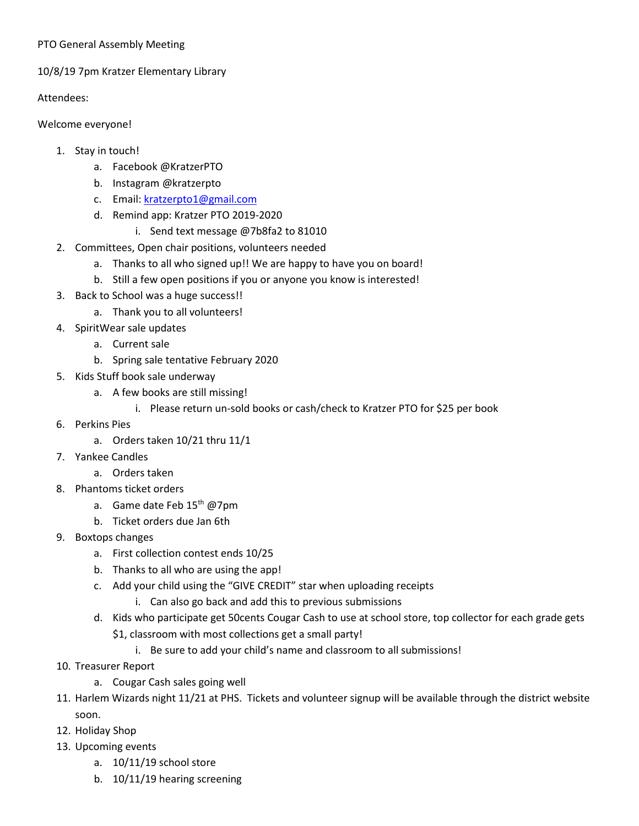## PTO General Assembly Meeting

## 10/8/19 7pm Kratzer Elementary Library

Attendees:

Welcome everyone!

- 1. Stay in touch!
	- a. Facebook @KratzerPTO
	- b. Instagram @kratzerpto
	- c. Email: [kratzerpto1@gmail.com](mailto:kratzerpto1@gmail.com)
	- d. Remind app: Kratzer PTO 2019-2020
		- i. Send text message @7b8fa2 to 81010
- 2. Committees, Open chair positions, volunteers needed
	- a. Thanks to all who signed up!! We are happy to have you on board!
	- b. Still a few open positions if you or anyone you know is interested!
- 3. Back to School was a huge success!!
	- a. Thank you to all volunteers!
- 4. SpiritWear sale updates
	- a. Current sale
	- b. Spring sale tentative February 2020
- 5. Kids Stuff book sale underway
	- a. A few books are still missing!
		- i. Please return un-sold books or cash/check to Kratzer PTO for \$25 per book
- 6. Perkins Pies
	- a. Orders taken 10/21 thru 11/1
- 7. Yankee Candles
	- a. Orders taken
- 8. Phantoms ticket orders
	- a. Game date Feb 15<sup>th</sup> @7pm
	- b. Ticket orders due Jan 6th
- 9. Boxtops changes
	- a. First collection contest ends 10/25
	- b. Thanks to all who are using the app!
	- c. Add your child using the "GIVE CREDIT" star when uploading receipts
		- i. Can also go back and add this to previous submissions
	- d. Kids who participate get 50cents Cougar Cash to use at school store, top collector for each grade gets \$1, classroom with most collections get a small party!
		- i. Be sure to add your child's name and classroom to all submissions!
- 10. Treasurer Report
	- a. Cougar Cash sales going well
- 11. Harlem Wizards night 11/21 at PHS. Tickets and volunteer signup will be available through the district website soon.
- 12. Holiday Shop
- 13. Upcoming events
	- a. 10/11/19 school store
	- b. 10/11/19 hearing screening